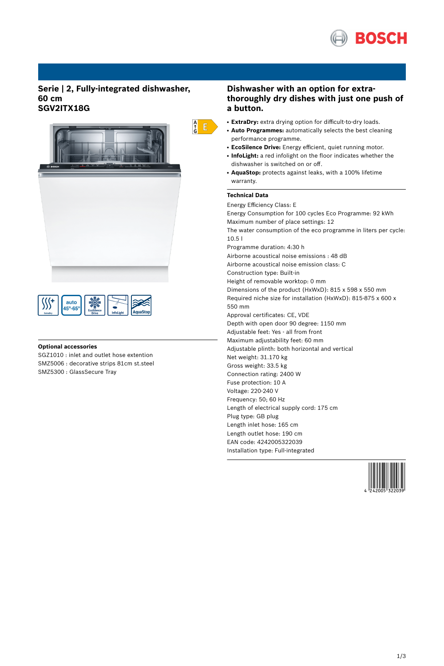

## **Serie | 2, Fully-integrated dishwasher, 60 cm SGV2ITX18G**



| auto<br>,°-65°<br><b>AquaStop</b><br>InfoLight<br><b>Drive</b><br>ExtraDry |
|----------------------------------------------------------------------------|
|----------------------------------------------------------------------------|

### **Optional accessories**

SGZ1010 : inlet and outlet hose extention SMZ5006 : decorative strips 81cm st.steel SMZ5300 : GlassSecure Tray

## **Dishwasher with an option for extrathoroughly dry dishes with just one push of a button.**

- **ExtraDry:** extra drying option for difficult-to-dry loads.
- **Auto Programmes:** automatically selects the best cleaning performance programme.
- **EcoSilence Drive:** Energy efficient, quiet running motor.
- **InfoLight:** a red infolight on the floor indicates whether the dishwasher is switched on or off.
- AquaStop: protects against leaks, with a 100% lifetime warranty.

# **Technical Data**

 $\begin{array}{c} A \\ \uparrow \\ G \end{array}$   $E$ 

Energy Efficiency Class: E Energy Consumption for 100 cycles Eco Programme: 92 kWh Maximum number of place settings: 12 The water consumption of the eco programme in liters per cycle: 10.5 l Programme duration: 4:30 h Airborne acoustical noise emissions : 48 dB Airborne acoustical noise emission class: C Construction type: Built-in Height of removable worktop: 0 mm Dimensions of the product (HxWxD): 815 x 598 x 550 mm Required niche size for installation (HxWxD): 815-875 x 600 x 550 mm Approval certificates: CE, VDE Depth with open door 90 degree: 1150 mm Adjustable feet: Yes - all from front Maximum adjustability feet: 60 mm Adjustable plinth: both horizontal and vertical Net weight: 31.170 kg Gross weight: 33.5 kg Connection rating: 2400 W Fuse protection: 10 A Voltage: 220-240 V Frequency: 50; 60 Hz Length of electrical supply cord: 175 cm Plug type: GB plug Length inlet hose: 165 cm Length outlet hose: 190 cm EAN code: 4242005322039 Installation type: Full-integrated

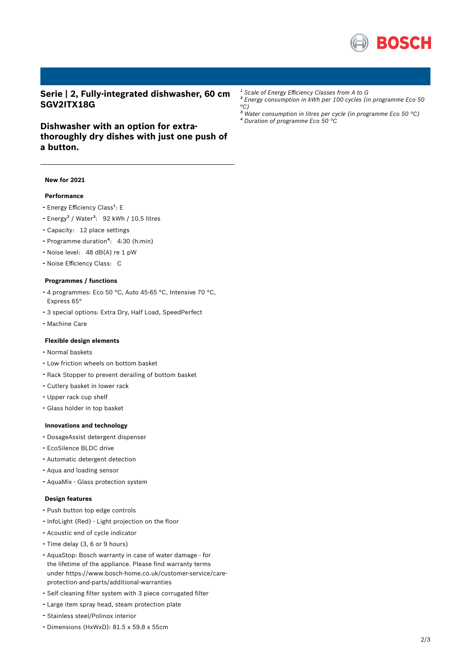

**Serie | 2, Fully-integrated dishwasher, 60 cm SGV2ITX18G**

# **Dishwasher with an option for extrathoroughly dry dishes with just one push of a button.**

### **New for 2021**

### **Performance**

- Energy Efficiency Class<sup>1</sup>: E
- Energy<sup>2</sup> / Water<sup>3</sup>: 92 kWh / 10.5 litres
- Capacity: <sup>12</sup> place settings
- Programme duration<sup>4</sup>: 4:30 (h:min)
- Noise level: <sup>48</sup> dB(A) re <sup>1</sup> pW
- Noise Efficiency Class: <sup>C</sup>

#### **Programmes / functions**

- <sup>4</sup> programmes: Eco <sup>50</sup> °C, Auto 45-65 °C, Intensive <sup>70</sup> °C, Express 65°
- <sup>3</sup> special options: Extra Dry, Half Load, SpeedPerfect
- Machine Care

## **Flexible design elements**

- Normal baskets
- Low friction wheels on bottom basket
- Rack Stopper to prevent derailing of bottom basket
- Cutlery basket in lower rack
- Upper rack cup shelf
- Glass holder in top basket

#### **Innovations and technology**

- DosageAssist detergent dispenser
- EcoSilence BLDC drive
- Automatic detergent detection
- Aqua and loading sensor
- AquaMix Glass protection system

#### **Design features**

- Push button top edge controls
- InfoLight (Red) Light projection on the floor
- Acoustic end of cycle indicator
- Time delay (3, <sup>6</sup> or <sup>9</sup> hours)
- AquaStop: Bosch warranty in case of water damage for the lifetime of the appliance. Please find warranty terms under https://www.bosch-home.co.uk/customer-service/careprotection-and-parts/additional-warranties
- Self cleaning filter system with <sup>3</sup> piece corrugated filter
- Large item spray head, steam protection plate
- Stainless steel/Polinox interior
- Dimensions (HxWxD): 81.5 x 59.8 x 55cm
- *¹ Scale of Energy Efficiency Classes from A to G*
- *² Energy consumption in kWh per 100 cycles (in programme Eco 50 °C)*
- *³ Water consumption in litres per cycle (in programme Eco 50 °C) ⁴ Duration of programme Eco 50 °C*